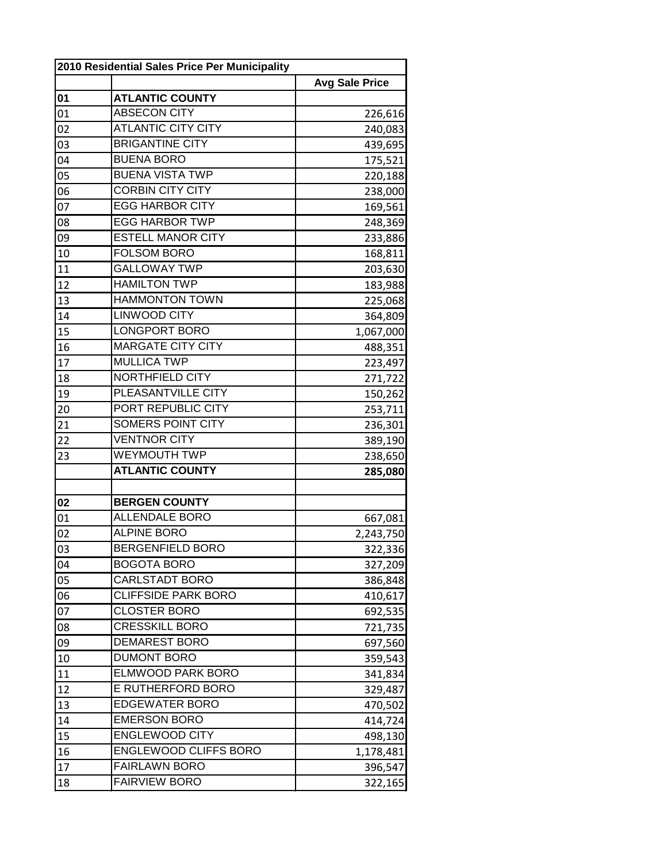|    | 2010 Residential Sales Price Per Municipality |                       |  |
|----|-----------------------------------------------|-----------------------|--|
|    |                                               | <b>Avg Sale Price</b> |  |
| 01 | <b>ATLANTIC COUNTY</b>                        |                       |  |
| 01 | <b>ABSECON CITY</b>                           | 226,616               |  |
| 02 | <b>ATLANTIC CITY CITY</b>                     | 240,083               |  |
| 03 | <b>BRIGANTINE CITY</b>                        | 439,695               |  |
| 04 | <b>BUENA BORO</b>                             | 175,521               |  |
| 05 | <b>BUENA VISTA TWP</b>                        | 220,188               |  |
| 06 | <b>CORBIN CITY CITY</b>                       | 238,000               |  |
| 07 | <b>EGG HARBOR CITY</b>                        | 169,561               |  |
| 08 | <b>EGG HARBOR TWP</b>                         | 248,369               |  |
| 09 | <b>ESTELL MANOR CITY</b>                      | 233,886               |  |
| 10 | <b>FOLSOM BORO</b>                            | 168,811               |  |
| 11 | <b>GALLOWAY TWP</b>                           | 203,630               |  |
| 12 | <b>HAMILTON TWP</b>                           | 183,988               |  |
| 13 | <b>HAMMONTON TOWN</b>                         | 225,068               |  |
| 14 | <b>LINWOOD CITY</b>                           | 364,809               |  |
| 15 | LONGPORT BORO                                 | 1,067,000             |  |
| 16 | <b>MARGATE CITY CITY</b>                      | 488,351               |  |
| 17 | <b>MULLICA TWP</b>                            | 223,497               |  |
| 18 | <b>NORTHFIELD CITY</b>                        | 271,722               |  |
| 19 | PLEASANTVILLE CITY                            | 150,262               |  |
| 20 | PORT REPUBLIC CITY                            | 253,711               |  |
| 21 | <b>SOMERS POINT CITY</b>                      | 236,301               |  |
| 22 | <b>VENTNOR CITY</b>                           | 389,190               |  |
| 23 | <b>WEYMOUTH TWP</b>                           | 238,650               |  |
|    | <b>ATLANTIC COUNTY</b>                        | 285,080               |  |
|    |                                               |                       |  |
| 02 | <b>BERGEN COUNTY</b>                          |                       |  |
| 01 | <b>ALLENDALE BORO</b>                         | 667,081               |  |
| 02 | <b>ALPINE BORO</b>                            | 2,243,750             |  |
| 03 | <b>BERGENFIELD BORO</b>                       | 322,336               |  |
| 04 | <b>BOGOTA BORO</b>                            | 327,209               |  |
| 05 | CARLSTADT BORO                                | 386,848               |  |
| 06 | <b>CLIFFSIDE PARK BORO</b>                    | 410,617               |  |
| 07 | <b>CLOSTER BORO</b>                           | 692,535               |  |
| 08 | <b>CRESSKILL BORO</b>                         | 721,735               |  |
| 09 | <b>DEMAREST BORO</b>                          | 697,560               |  |
| 10 | <b>DUMONT BORO</b>                            | 359,543               |  |
| 11 | <b>ELMWOOD PARK BORO</b>                      | 341,834               |  |
| 12 | E RUTHERFORD BORO                             | 329,487               |  |
| 13 | <b>EDGEWATER BORO</b>                         | 470,502               |  |
| 14 | <b>EMERSON BORO</b>                           | 414,724               |  |
| 15 | <b>ENGLEWOOD CITY</b>                         | 498,130               |  |
| 16 | ENGLEWOOD CLIFFS BORO                         | 1,178,481             |  |
| 17 | <b>FAIRLAWN BORO</b>                          | 396,547               |  |
| 18 | <b>FAIRVIEW BORO</b>                          | 322,165               |  |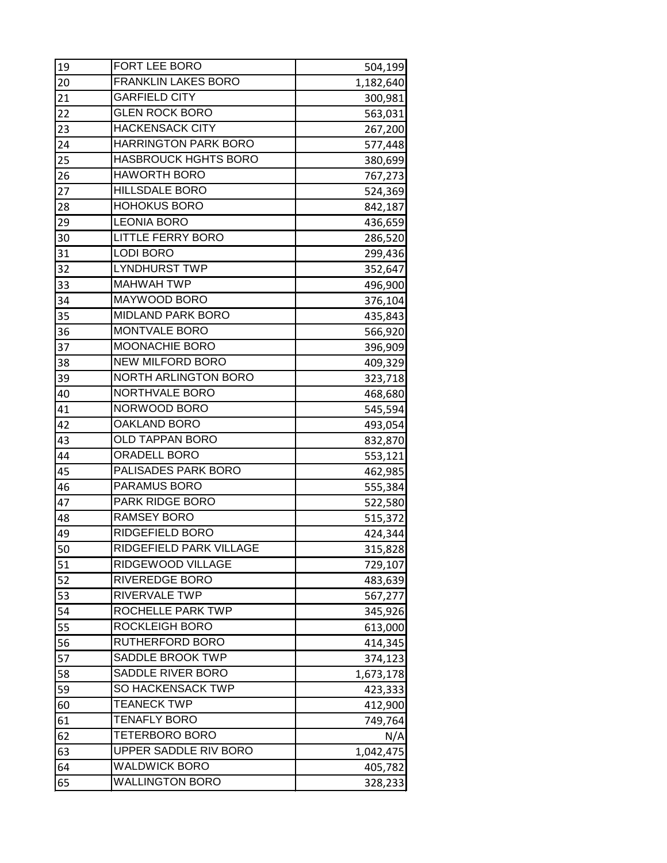| 19              | FORT LEE BORO               | 504,199   |
|-----------------|-----------------------------|-----------|
| 20              | <b>FRANKLIN LAKES BORO</b>  | 1,182,640 |
| 21              | <b>GARFIELD CITY</b>        | 300,981   |
| 22              | <b>GLEN ROCK BORO</b>       | 563,031   |
| 23              | <b>HACKENSACK CITY</b>      | 267,200   |
| 24              | <b>HARRINGTON PARK BORO</b> | 577,448   |
| 25              | <b>HASBROUCK HGHTS BORO</b> | 380,699   |
| 26              | <b>HAWORTH BORO</b>         | 767,273   |
| 27              | <b>HILLSDALE BORO</b>       | 524,369   |
| 28              | <b>HOHOKUS BORO</b>         | 842,187   |
| 29              | <b>LEONIA BORO</b>          | 436,659   |
| 30              | <b>LITTLE FERRY BORO</b>    | 286,520   |
| 31              | <b>LODI BORO</b>            | 299,436   |
| 32              | <b>LYNDHURST TWP</b>        | 352,647   |
| 33              | <b>MAHWAH TWP</b>           | 496,900   |
| 34              | MAYWOOD BORO                | 376,104   |
| 35              | <b>MIDLAND PARK BORO</b>    | 435,843   |
| 36              | MONTVALE BORO               | 566,920   |
| 37              | MOONACHIE BORO              | 396,909   |
| 38              | <b>NEW MILFORD BORO</b>     | 409,329   |
| 39              | NORTH ARLINGTON BORO        | 323,718   |
| 40              | NORTHVALE BORO              | 468,680   |
| 41              | NORWOOD BORO                | 545,594   |
| 42              | <b>OAKLAND BORO</b>         | 493,054   |
| 43              | <b>OLD TAPPAN BORO</b>      | 832,870   |
| 44              | <b>ORADELL BORO</b>         | 553,121   |
| 45              | PALISADES PARK BORO         | 462,985   |
| 46              | PARAMUS BORO                | 555,384   |
| 47              | <b>PARK RIDGE BORO</b>      | 522,580   |
| 48              | <b>RAMSEY BORO</b>          | 515,372   |
| 49              | RIDGEFIELD BORO             | 424,344   |
| $\overline{50}$ | RIDGEFIELD PARK VILLAGE     | 315,828   |
| 51              | RIDGEWOOD VILLAGE           | 729,107   |
| 52              | <b>RIVEREDGE BORO</b>       | 483,639   |
| 53              | RIVERVALE TWP               | 567,277   |
| 54              | ROCHELLE PARK TWP           | 345,926   |
| 55              | <b>ROCKLEIGH BORO</b>       | 613,000   |
| 56              | <b>RUTHERFORD BORO</b>      | 414,345   |
| 57              | SADDLE BROOK TWP            | 374,123   |
| 58              | SADDLE RIVER BORO           | 1,673,178 |
| 59              | SO HACKENSACK TWP           | 423,333   |
| 60              | <b>TEANECK TWP</b>          | 412,900   |
| 61              | <b>TENAFLY BORO</b>         | 749,764   |
| 62              | <b>TETERBORO BORO</b>       | N/A       |
| 63              | UPPER SADDLE RIV BORO       | 1,042,475 |
| 64              | <b>WALDWICK BORO</b>        | 405,782   |
| 65              | <b>WALLINGTON BORO</b>      | 328,233   |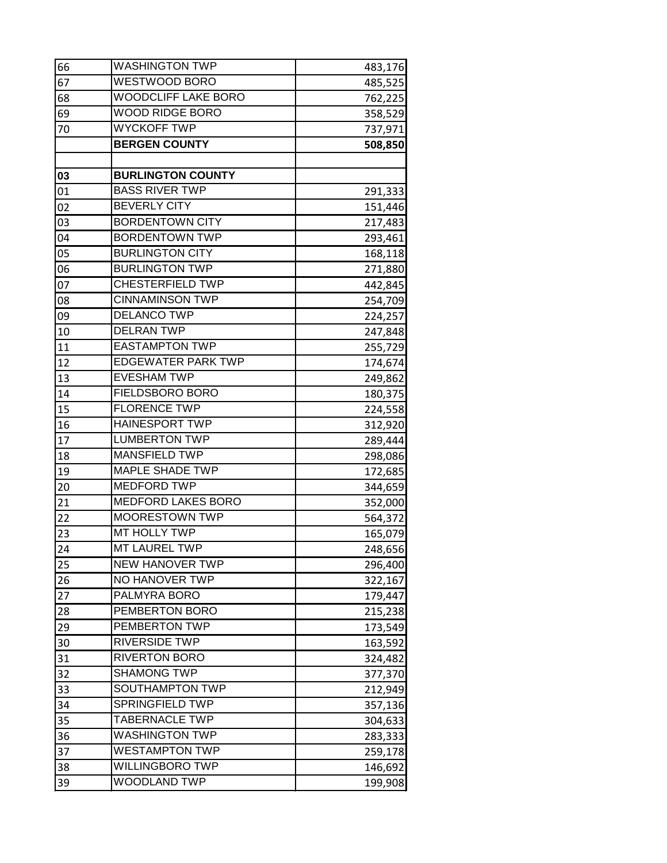| 66              | <b>WASHINGTON TWP</b>     | 483,176 |
|-----------------|---------------------------|---------|
| 67              | WESTWOOD BORO             | 485,525 |
| 68              | WOODCLIFF LAKE BORO       | 762,225 |
| 69              | WOOD RIDGE BORO           | 358,529 |
| 70              | <b>WYCKOFF TWP</b>        | 737,971 |
|                 | <b>BERGEN COUNTY</b>      | 508,850 |
|                 |                           |         |
| 03              | <b>BURLINGTON COUNTY</b>  |         |
| 01              | <b>BASS RIVER TWP</b>     | 291,333 |
| 02              | <b>BEVERLY CITY</b>       | 151,446 |
| 03              | <b>BORDENTOWN CITY</b>    | 217,483 |
| 04              | <b>BORDENTOWN TWP</b>     | 293,461 |
| 05              | <b>BURLINGTON CITY</b>    | 168,118 |
| 06              | <b>BURLINGTON TWP</b>     | 271,880 |
| 07              | <b>CHESTERFIELD TWP</b>   | 442,845 |
| 08              | <b>CINNAMINSON TWP</b>    | 254,709 |
| 09              | <b>DELANCO TWP</b>        | 224,257 |
| 10              | <b>DELRAN TWP</b>         | 247,848 |
| 11              | <b>EASTAMPTON TWP</b>     | 255,729 |
| 12              | <b>EDGEWATER PARK TWP</b> | 174,674 |
| 13              | <b>EVESHAM TWP</b>        | 249,862 |
| 14              | FIELDSBORO BORO           | 180,375 |
| 15              | <b>FLORENCE TWP</b>       | 224,558 |
| 16              | <b>HAINESPORT TWP</b>     | 312,920 |
| 17              | <b>LUMBERTON TWP</b>      | 289,444 |
| 18              | <b>MANSFIELD TWP</b>      | 298,086 |
| 19              | <b>MAPLE SHADE TWP</b>    | 172,685 |
| 20              | <b>MEDFORD TWP</b>        | 344,659 |
| 21              | <b>MEDFORD LAKES BORO</b> | 352,000 |
| 22              | <b>MOORESTOWN TWP</b>     | 564,372 |
| 23              | MT HOLLY TWP              | 165,079 |
| $\overline{24}$ | MT LAUREL TWP             | 248,656 |
| 25              | <b>NEW HANOVER TWP</b>    | 296,400 |
| 26              | NO HANOVER TWP            | 322,167 |
| 27              | PALMYRA BORO              | 179,447 |
| 28              | PEMBERTON BORO            | 215,238 |
| 29              | PEMBERTON TWP             | 173,549 |
| 30              | <b>RIVERSIDE TWP</b>      | 163,592 |
| 31              | <b>RIVERTON BORO</b>      | 324,482 |
| 32              | <b>SHAMONG TWP</b>        | 377,370 |
| 33              | SOUTHAMPTON TWP           | 212,949 |
| 34              | <b>SPRINGFIELD TWP</b>    | 357,136 |
| 35              | <b>TABERNACLE TWP</b>     | 304,633 |
| 36              | <b>WASHINGTON TWP</b>     | 283,333 |
| 37              | <b>WESTAMPTON TWP</b>     | 259,178 |
| 38              | WILLINGBORO TWP           | 146,692 |
| 39              | WOODLAND TWP              | 199,908 |
|                 |                           |         |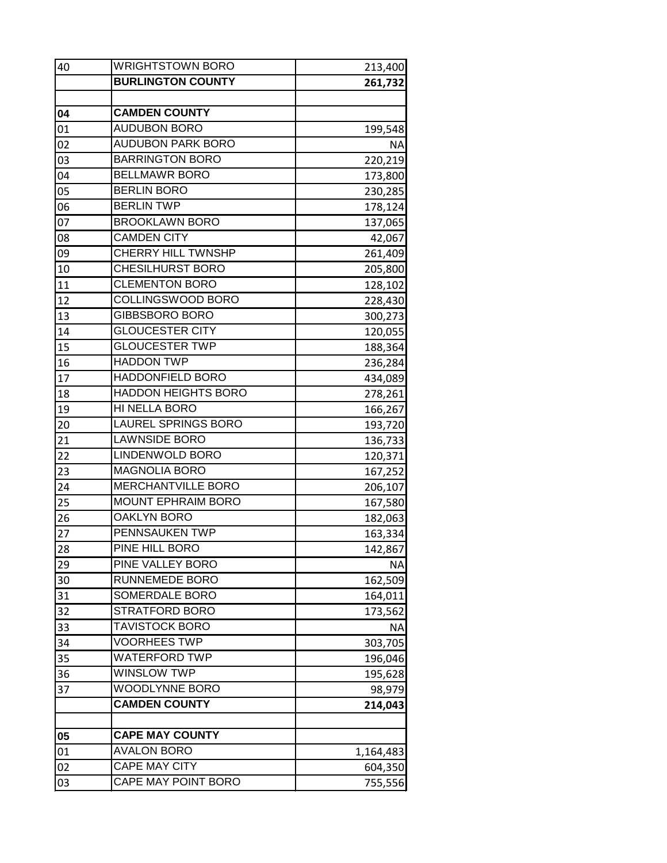| 40 | <b>WRIGHTSTOWN BORO</b>    | 213,400   |
|----|----------------------------|-----------|
|    | <b>BURLINGTON COUNTY</b>   | 261,732   |
|    |                            |           |
| 04 | <b>CAMDEN COUNTY</b>       |           |
| 01 | <b>AUDUBON BORO</b>        | 199,548   |
| 02 | <b>AUDUBON PARK BORO</b>   | <b>NA</b> |
| 03 | <b>BARRINGTON BORO</b>     | 220,219   |
| 04 | <b>BELLMAWR BORO</b>       | 173,800   |
| 05 | <b>BERLIN BORO</b>         | 230,285   |
| 06 | <b>BERLIN TWP</b>          | 178,124   |
| 07 | <b>BROOKLAWN BORO</b>      | 137,065   |
| 08 | <b>CAMDEN CITY</b>         | 42,067    |
| 09 | CHERRY HILL TWNSHP         | 261,409   |
| 10 | CHESILHURST BORO           | 205,800   |
| 11 | <b>CLEMENTON BORO</b>      | 128,102   |
| 12 | COLLINGSWOOD BORO          | 228,430   |
| 13 | <b>GIBBSBORO BORO</b>      | 300,273   |
| 14 | <b>GLOUCESTER CITY</b>     | 120,055   |
| 15 | <b>GLOUCESTER TWP</b>      | 188,364   |
| 16 | <b>HADDON TWP</b>          | 236,284   |
| 17 | <b>HADDONFIELD BORO</b>    | 434,089   |
| 18 | <b>HADDON HEIGHTS BORO</b> | 278,261   |
| 19 | HI NELLA BORO              | 166,267   |
| 20 | <b>LAUREL SPRINGS BORO</b> | 193,720   |
| 21 | LAWNSIDE BORO              | 136,733   |
| 22 | LINDENWOLD BORO            | 120,371   |
| 23 | <b>MAGNOLIA BORO</b>       | 167,252   |
| 24 | MERCHANTVILLE BORO         | 206,107   |
| 25 | <b>MOUNT EPHRAIM BORO</b>  | 167,580   |
| 26 | <b>OAKLYN BORO</b>         | 182,063   |
| 27 | PENNSAUKEN TWP             | 163,334   |
| 28 | PINE HILL BORO             | 142,867   |
| 29 | PINE VALLEY BORO           | ΝA        |
| 30 | RUNNEMEDE BORO             | 162,509   |
| 31 | SOMERDALE BORO             | 164,011   |
| 32 | <b>STRATFORD BORO</b>      | 173,562   |
| 33 | <b>TAVISTOCK BORO</b>      | ΝA        |
| 34 | <b>VOORHEES TWP</b>        | 303,705   |
| 35 | <b>WATERFORD TWP</b>       | 196,046   |
| 36 | <b>WINSLOW TWP</b>         | 195,628   |
| 37 | WOODLYNNE BORO             | 98,979    |
|    | <b>CAMDEN COUNTY</b>       | 214,043   |
| 05 | <b>CAPE MAY COUNTY</b>     |           |
| 01 | <b>AVALON BORO</b>         | 1,164,483 |
| 02 | <b>CAPE MAY CITY</b>       | 604,350   |
| 03 | CAPE MAY POINT BORO        | 755,556   |
|    |                            |           |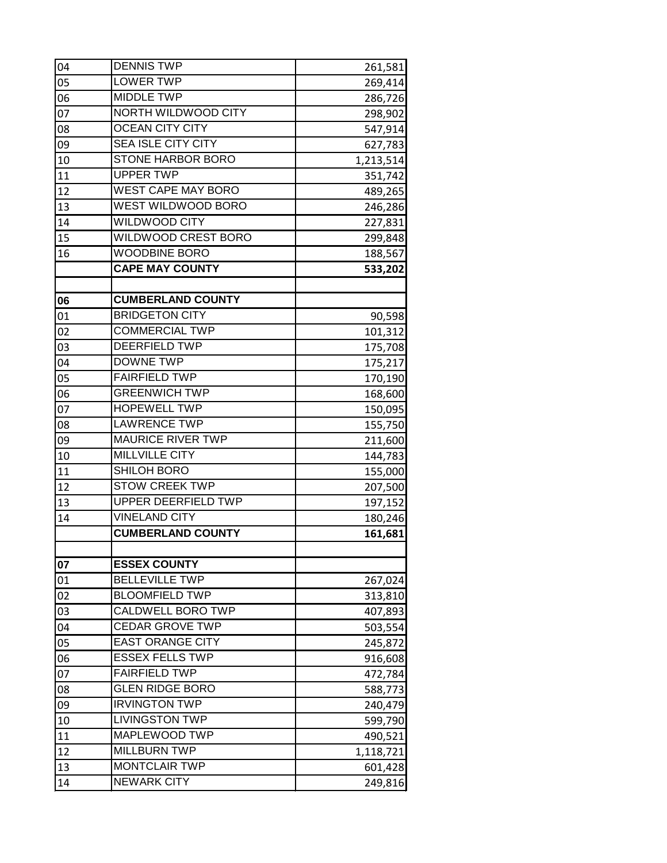| 04 | <b>DENNIS TWP</b>         | 261,581   |
|----|---------------------------|-----------|
| 05 | <b>LOWER TWP</b>          | 269,414   |
| 06 | <b>MIDDLE TWP</b>         | 286,726   |
| 07 | NORTH WILDWOOD CITY       | 298,902   |
| 08 | <b>OCEAN CITY CITY</b>    | 547,914   |
| 09 | <b>SEA ISLE CITY CITY</b> | 627,783   |
| 10 | <b>STONE HARBOR BORO</b>  | 1,213,514 |
| 11 | <b>UPPER TWP</b>          | 351,742   |
| 12 | <b>WEST CAPE MAY BORO</b> | 489,265   |
| 13 | <b>WEST WILDWOOD BORO</b> | 246,286   |
| 14 | <b>WILDWOOD CITY</b>      | 227,831   |
| 15 | WILDWOOD CREST BORO       | 299,848   |
| 16 | <b>WOODBINE BORO</b>      | 188,567   |
|    | <b>CAPE MAY COUNTY</b>    | 533,202   |
|    |                           |           |
| 06 | <b>CUMBERLAND COUNTY</b>  |           |
| 01 | <b>BRIDGETON CITY</b>     | 90,598    |
| 02 | <b>COMMERCIAL TWP</b>     | 101,312   |
| 03 | <b>DEERFIELD TWP</b>      | 175,708   |
| 04 | <b>DOWNE TWP</b>          | 175,217   |
| 05 | <b>FAIRFIELD TWP</b>      | 170,190   |
| 06 | <b>GREENWICH TWP</b>      | 168,600   |
| 07 | <b>HOPEWELL TWP</b>       | 150,095   |
| 08 | <b>LAWRENCE TWP</b>       | 155,750   |
| 09 | <b>MAURICE RIVER TWP</b>  | 211,600   |
| 10 | <b>MILLVILLE CITY</b>     | 144,783   |
| 11 | <b>SHILOH BORO</b>        | 155,000   |
| 12 | <b>STOW CREEK TWP</b>     | 207,500   |
| 13 | UPPER DEERFIELD TWP       | 197,152   |
| 14 | <b>VINELAND CITY</b>      | 180,246   |
|    | <b>CUMBERLAND COUNTY</b>  | 161,681   |
|    |                           |           |
| 07 | <b>ESSEX COUNTY</b>       |           |
| 01 | <b>BELLEVILLE TWP</b>     | 267,024   |
| 02 | <b>BLOOMFIELD TWP</b>     | 313,810   |
| 03 | CALDWELL BORO TWP         | 407,893   |
| 04 | <b>CEDAR GROVE TWP</b>    | 503,554   |
| 05 | <b>EAST ORANGE CITY</b>   | 245,872   |
| 06 | <b>ESSEX FELLS TWP</b>    | 916,608   |
| 07 | <b>FAIRFIELD TWP</b>      | 472,784   |
| 08 | <b>GLEN RIDGE BORO</b>    | 588,773   |
| 09 | <b>IRVINGTON TWP</b>      | 240,479   |
| 10 | <b>LIVINGSTON TWP</b>     | 599,790   |
| 11 | MAPLEWOOD TWP             | 490,521   |
| 12 | <b>MILLBURN TWP</b>       | 1,118,721 |
| 13 | <b>MONTCLAIR TWP</b>      | 601,428   |
| 14 | <b>NEWARK CITY</b>        | 249,816   |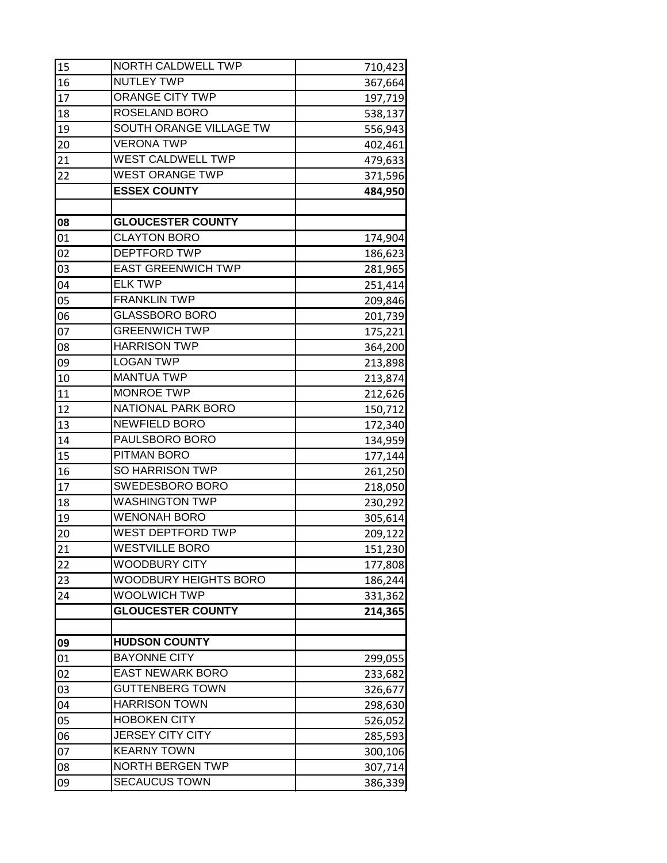| 15 | NORTH CALDWELL TWP        | 710,423 |
|----|---------------------------|---------|
| 16 | <b>NUTLEY TWP</b>         | 367,664 |
| 17 | <b>ORANGE CITY TWP</b>    | 197,719 |
| 18 | ROSELAND BORO             | 538,137 |
| 19 | SOUTH ORANGE VILLAGE TW   | 556,943 |
| 20 | <b>VERONA TWP</b>         | 402,461 |
| 21 | WEST CALDWELL TWP         | 479,633 |
| 22 | <b>WEST ORANGE TWP</b>    | 371,596 |
|    | <b>ESSEX COUNTY</b>       | 484,950 |
|    |                           |         |
| 08 | <b>GLOUCESTER COUNTY</b>  |         |
| 01 | <b>CLAYTON BORO</b>       | 174,904 |
| 02 | <b>DEPTFORD TWP</b>       | 186,623 |
| 03 | <b>EAST GREENWICH TWP</b> | 281,965 |
| 04 | <b>ELK TWP</b>            | 251,414 |
| 05 | <b>FRANKLIN TWP</b>       | 209,846 |
| 06 | <b>GLASSBORO BORO</b>     | 201,739 |
| 07 | <b>GREENWICH TWP</b>      | 175,221 |
| 08 | <b>HARRISON TWP</b>       | 364,200 |
| 09 | <b>LOGAN TWP</b>          | 213,898 |
| 10 | <b>MANTUA TWP</b>         | 213,874 |
| 11 | <b>MONROE TWP</b>         | 212,626 |
| 12 | NATIONAL PARK BORO        | 150,712 |
| 13 | <b>NEWFIELD BORO</b>      | 172,340 |
| 14 | PAULSBORO BORO            | 134,959 |
| 15 | PITMAN BORO               | 177,144 |
| 16 | SO HARRISON TWP           | 261,250 |
| 17 | SWEDESBORO BORO           | 218,050 |
| 18 | <b>WASHINGTON TWP</b>     | 230,292 |
| 19 | <b>WENONAH BORO</b>       | 305,614 |
| 20 | WEST DEPTFORD TWP         | 209,122 |
| 21 | <b>WESTVILLE BORO</b>     | 151,230 |
| 22 | <b>WOODBURY CITY</b>      | 177,808 |
| 23 | WOODBURY HEIGHTS BORO     | 186,244 |
| 24 | <b>WOOLWICH TWP</b>       | 331,362 |
|    | <b>GLOUCESTER COUNTY</b>  | 214,365 |
|    |                           |         |
| 09 | <b>HUDSON COUNTY</b>      |         |
| 01 | <b>BAYONNE CITY</b>       | 299,055 |
| 02 | <b>EAST NEWARK BORO</b>   | 233,682 |
| 03 | <b>GUTTENBERG TOWN</b>    | 326,677 |
| 04 | <b>HARRISON TOWN</b>      | 298,630 |
| 05 | <b>HOBOKEN CITY</b>       | 526,052 |
| 06 | <b>JERSEY CITY CITY</b>   | 285,593 |
| 07 | <b>KEARNY TOWN</b>        | 300,106 |
| 08 | <b>NORTH BERGEN TWP</b>   | 307,714 |
| 09 | <b>SECAUCUS TOWN</b>      | 386,339 |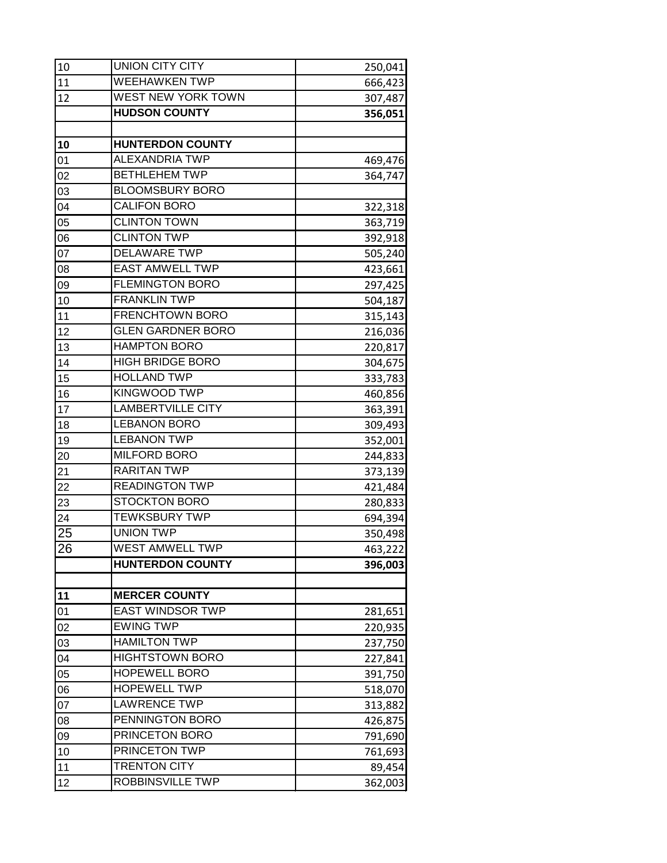| 10              | <b>UNION CITY CITY</b>    | 250,041 |
|-----------------|---------------------------|---------|
| 11              | <b>WEEHAWKEN TWP</b>      | 666,423 |
| 12              | <b>WEST NEW YORK TOWN</b> | 307,487 |
|                 | <b>HUDSON COUNTY</b>      | 356,051 |
|                 |                           |         |
| 10              | <b>HUNTERDON COUNTY</b>   |         |
| 01              | <b>ALEXANDRIA TWP</b>     | 469,476 |
| 02              | <b>BETHLEHEM TWP</b>      | 364,747 |
| 03              | <b>BLOOMSBURY BORO</b>    |         |
| 04              | <b>CALIFON BORO</b>       | 322,318 |
| 05              | <b>CLINTON TOWN</b>       | 363,719 |
| 06              | <b>CLINTON TWP</b>        | 392,918 |
| 07              | <b>DELAWARE TWP</b>       | 505,240 |
| 08              | <b>EAST AMWELL TWP</b>    | 423,661 |
| 09              | <b>FLEMINGTON BORO</b>    | 297,425 |
| 10              | <b>FRANKLIN TWP</b>       | 504,187 |
| 11              | <b>FRENCHTOWN BORO</b>    | 315,143 |
| 12              | <b>GLEN GARDNER BORO</b>  | 216,036 |
| 13              | <b>HAMPTON BORO</b>       | 220,817 |
| 14              | <b>HIGH BRIDGE BORO</b>   | 304,675 |
| 15              | <b>HOLLAND TWP</b>        | 333,783 |
| 16              | KINGWOOD TWP              | 460,856 |
| 17              | <b>LAMBERTVILLE CITY</b>  | 363,391 |
| 18              | <b>LEBANON BORO</b>       | 309,493 |
| 19              | <b>LEBANON TWP</b>        | 352,001 |
| 20              | <b>MILFORD BORO</b>       | 244,833 |
| 21              | <b>RARITAN TWP</b>        | 373,139 |
| 22              | <b>READINGTON TWP</b>     | 421,484 |
| 23              | <b>STOCKTON BORO</b>      | 280,833 |
| 24              | <b>TEWKSBURY TWP</b>      | 694,394 |
| 25              | <b>UNION TWP</b>          | 350,498 |
| $\overline{26}$ | <b>WEST AMWELL TWP</b>    | 463,222 |
|                 | <b>HUNTERDON COUNTY</b>   | 396,003 |
|                 |                           |         |
| 11              | <b>MERCER COUNTY</b>      |         |
| 01              | <b>EAST WINDSOR TWP</b>   | 281,651 |
| 02              | <b>EWING TWP</b>          | 220,935 |
| 03              | <b>HAMILTON TWP</b>       | 237,750 |
| 04              | <b>HIGHTSTOWN BORO</b>    | 227,841 |
| 05              | <b>HOPEWELL BORO</b>      | 391,750 |
| 06              | <b>HOPEWELL TWP</b>       | 518,070 |
| 07              | <b>LAWRENCE TWP</b>       | 313,882 |
| 08              | PENNINGTON BORO           | 426,875 |
| 09              | PRINCETON BORO            | 791,690 |
| 10              | PRINCETON TWP             | 761,693 |
| 11              | <b>TRENTON CITY</b>       | 89,454  |
| 12              | ROBBINSVILLE TWP          | 362,003 |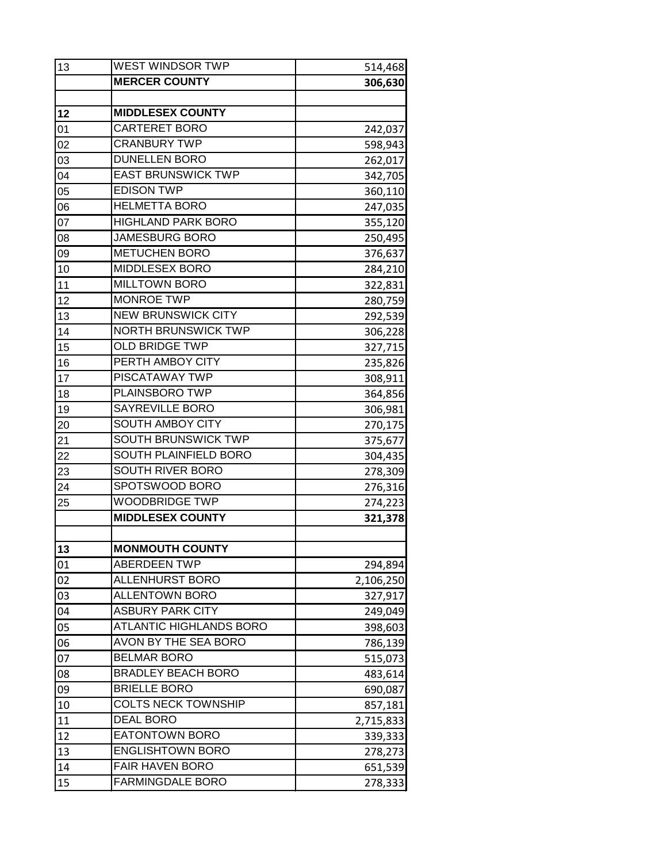| 13 | WEST WINDSOR TWP               | 514,468   |
|----|--------------------------------|-----------|
|    | <b>MERCER COUNTY</b>           | 306,630   |
|    |                                |           |
| 12 | <b>MIDDLESEX COUNTY</b>        |           |
| 01 | <b>CARTERET BORO</b>           | 242,037   |
| 02 | <b>CRANBURY TWP</b>            | 598,943   |
| 03 | <b>DUNELLEN BORO</b>           | 262,017   |
| 04 | <b>EAST BRUNSWICK TWP</b>      | 342,705   |
| 05 | <b>EDISON TWP</b>              | 360,110   |
| 06 | <b>HELMETTA BORO</b>           | 247,035   |
| 07 | <b>HIGHLAND PARK BORO</b>      | 355,120   |
| 08 | <b>JAMESBURG BORO</b>          | 250,495   |
| 09 | <b>METUCHEN BORO</b>           | 376,637   |
| 10 | MIDDLESEX BORO                 | 284,210   |
| 11 | <b>MILLTOWN BORO</b>           | 322,831   |
| 12 | <b>MONROE TWP</b>              | 280,759   |
| 13 | <b>NEW BRUNSWICK CITY</b>      | 292,539   |
| 14 | <b>NORTH BRUNSWICK TWP</b>     | 306,228   |
| 15 | <b>OLD BRIDGE TWP</b>          | 327,715   |
| 16 | PERTH AMBOY CITY               | 235,826   |
| 17 | <b>PISCATAWAY TWP</b>          | 308,911   |
| 18 | PLAINSBORO TWP                 | 364,856   |
| 19 | SAYREVILLE BORO                | 306,981   |
| 20 | SOUTH AMBOY CITY               | 270,175   |
| 21 | SOUTH BRUNSWICK TWP            | 375,677   |
| 22 | SOUTH PLAINFIELD BORO          | 304,435   |
| 23 | SOUTH RIVER BORO               | 278,309   |
| 24 | SPOTSWOOD BORO                 | 276,316   |
| 25 | <b>WOODBRIDGE TWP</b>          | 274,223   |
|    | <b>MIDDLESEX COUNTY</b>        | 321,378   |
|    |                                |           |
| 13 | <b>MONMOUTH COUNTY</b>         |           |
| 01 | <b>ABERDEEN TWP</b>            | 294,894   |
| 02 | <b>ALLENHURST BORO</b>         | 2,106,250 |
| 03 | <b>ALLENTOWN BORO</b>          | 327,917   |
| 04 | <b>ASBURY PARK CITY</b>        | 249,049   |
| 05 | <b>ATLANTIC HIGHLANDS BORO</b> | 398,603   |
| 06 | AVON BY THE SEA BORO           | 786,139   |
| 07 | <b>BELMAR BORO</b>             | 515,073   |
| 08 | <b>BRADLEY BEACH BORO</b>      | 483,614   |
| 09 | <b>BRIELLE BORO</b>            | 690,087   |
| 10 | <b>COLTS NECK TOWNSHIP</b>     | 857,181   |
| 11 | <b>DEAL BORO</b>               | 2,715,833 |
| 12 | <b>EATONTOWN BORO</b>          | 339,333   |
| 13 | <b>ENGLISHTOWN BORO</b>        | 278,273   |
| 14 | <b>FAIR HAVEN BORO</b>         | 651,539   |
| 15 | <b>FARMINGDALE BORO</b>        | 278,333   |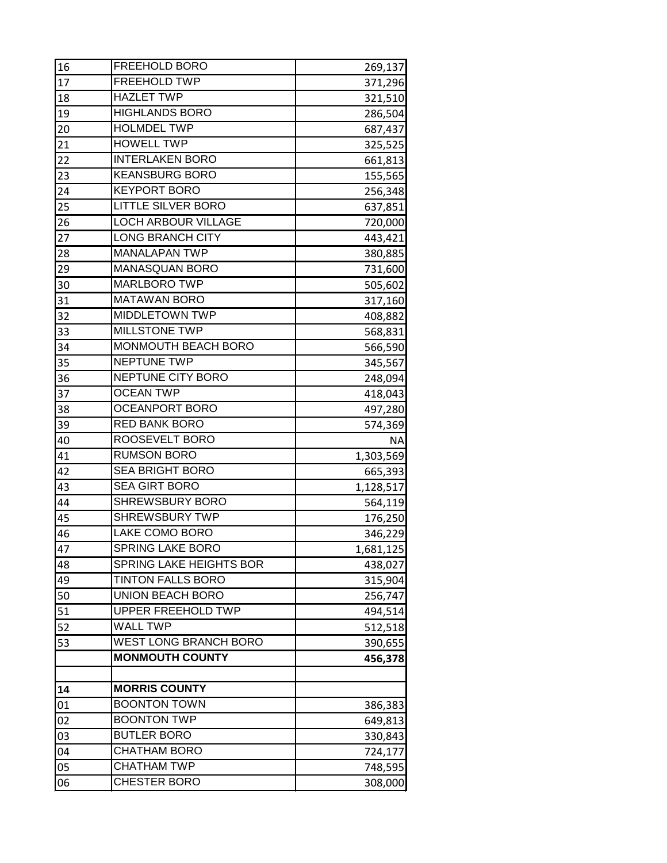| 16 | FREEHOLD BORO                  | 269,137   |
|----|--------------------------------|-----------|
| 17 | <b>FREEHOLD TWP</b>            | 371,296   |
| 18 | <b>HAZLET TWP</b>              | 321,510   |
| 19 | <b>HIGHLANDS BORO</b>          | 286,504   |
| 20 | <b>HOLMDEL TWP</b>             | 687,437   |
| 21 | <b>HOWELL TWP</b>              | 325,525   |
| 22 | <b>INTERLAKEN BORO</b>         | 661,813   |
| 23 | <b>KEANSBURG BORO</b>          | 155,565   |
| 24 | <b>KEYPORT BORO</b>            | 256,348   |
| 25 | <b>LITTLE SILVER BORO</b>      | 637,851   |
| 26 | <b>LOCH ARBOUR VILLAGE</b>     | 720,000   |
| 27 | <b>LONG BRANCH CITY</b>        | 443,421   |
| 28 | <b>MANALAPAN TWP</b>           | 380,885   |
| 29 | <b>MANASQUAN BORO</b>          | 731,600   |
| 30 | <b>MARLBORO TWP</b>            | 505,602   |
| 31 | <b>MATAWAN BORO</b>            | 317,160   |
| 32 | <b>MIDDLETOWN TWP</b>          | 408,882   |
| 33 | MILLSTONE TWP                  | 568,831   |
| 34 | MONMOUTH BEACH BORO            | 566,590   |
| 35 | NEPTUNE TWP                    | 345,567   |
| 36 | NEPTUNE CITY BORO              | 248,094   |
| 37 | <b>OCEAN TWP</b>               | 418,043   |
| 38 | <b>OCEANPORT BORO</b>          | 497,280   |
| 39 | RED BANK BORO                  | 574,369   |
| 40 | ROOSEVELT BORO                 | ΝA        |
| 41 | <b>RUMSON BORO</b>             | 1,303,569 |
| 42 | <b>SEA BRIGHT BORO</b>         | 665,393   |
| 43 | <b>SEA GIRT BORO</b>           | 1,128,517 |
| 44 | <b>SHREWSBURY BORO</b>         | 564,119   |
| 45 | <b>SHREWSBURY TWP</b>          | 176,250   |
| 46 | <b>LAKE COMO BORO</b>          | 346,229   |
| 47 | <b>SPRING LAKE BORO</b>        | 1,681,125 |
| 48 | <b>SPRING LAKE HEIGHTS BOR</b> | 438,027   |
| 49 | <b>TINTON FALLS BORO</b>       | 315,904   |
| 50 | <b>UNION BEACH BORO</b>        | 256,747   |
| 51 | <b>UPPER FREEHOLD TWP</b>      | 494,514   |
| 52 | <b>WALL TWP</b>                | 512,518   |
| 53 | <b>WEST LONG BRANCH BORO</b>   | 390,655   |
|    | <b>MONMOUTH COUNTY</b>         | 456,378   |
| 14 | <b>MORRIS COUNTY</b>           |           |
| 01 | <b>BOONTON TOWN</b>            | 386,383   |
| 02 | <b>BOONTON TWP</b>             | 649,813   |
| 03 | <b>BUTLER BORO</b>             | 330,843   |
| 04 | <b>CHATHAM BORO</b>            | 724,177   |
| 05 | <b>CHATHAM TWP</b>             | 748,595   |
| 06 | CHESTER BORO                   | 308,000   |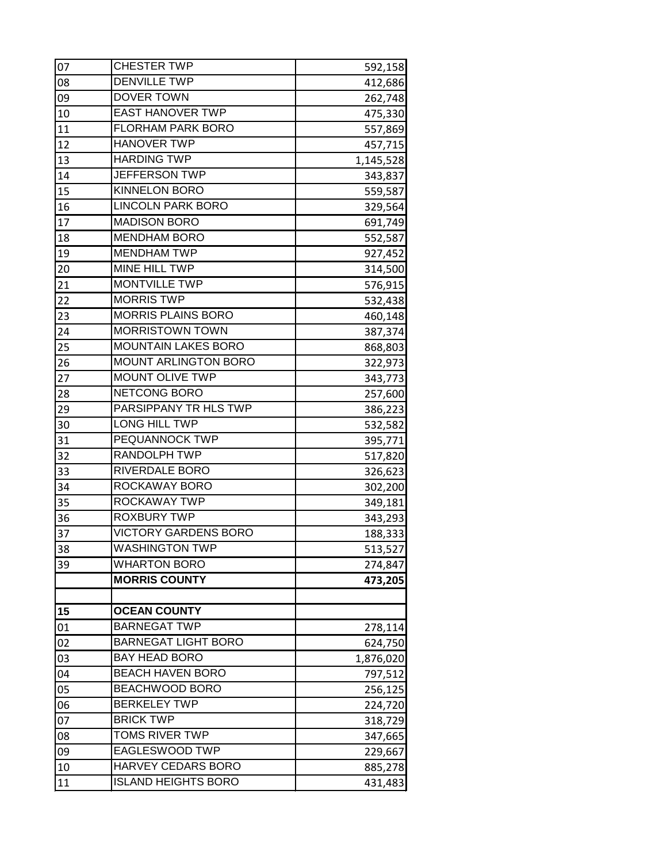| 07 | <b>CHESTER TWP</b>          | 592,158   |
|----|-----------------------------|-----------|
| 08 | <b>DENVILLE TWP</b>         | 412,686   |
| 09 | DOVER TOWN                  | 262,748   |
| 10 | <b>EAST HANOVER TWP</b>     | 475,330   |
| 11 | <b>FLORHAM PARK BORO</b>    | 557,869   |
| 12 | <b>HANOVER TWP</b>          | 457,715   |
| 13 | <b>HARDING TWP</b>          | 1,145,528 |
| 14 | JEFFERSON TWP               | 343,837   |
| 15 | <b>KINNELON BORO</b>        | 559,587   |
| 16 | <b>LINCOLN PARK BORO</b>    | 329,564   |
| 17 | <b>MADISON BORO</b>         | 691,749   |
| 18 | <b>MENDHAM BORO</b>         | 552,587   |
| 19 | <b>MENDHAM TWP</b>          | 927,452   |
| 20 | MINE HILL TWP               | 314,500   |
| 21 | <b>MONTVILLE TWP</b>        | 576,915   |
| 22 | <b>MORRIS TWP</b>           | 532,438   |
| 23 | <b>MORRIS PLAINS BORO</b>   | 460,148   |
| 24 | <b>MORRISTOWN TOWN</b>      | 387,374   |
| 25 | <b>MOUNTAIN LAKES BORO</b>  | 868,803   |
| 26 | <b>MOUNT ARLINGTON BORO</b> | 322,973   |
| 27 | <b>MOUNT OLIVE TWP</b>      | 343,773   |
| 28 | NETCONG BORO                | 257,600   |
| 29 | PARSIPPANY TR HLS TWP       | 386,223   |
| 30 | LONG HILL TWP               | 532,582   |
| 31 | PEQUANNOCK TWP              | 395,771   |
| 32 | RANDOLPH TWP                | 517,820   |
| 33 | RIVERDALE BORO              | 326,623   |
| 34 | ROCKAWAY BORO               | 302,200   |
| 35 | ROCKAWAY TWP                | 349,181   |
| 36 | <b>ROXBURY TWP</b>          | 343,293   |
| 37 | <b>VICTORY GARDENS BORO</b> | 188,333   |
| 38 | <b>WASHINGTON TWP</b>       | 513,527   |
| 39 | <b>WHARTON BORO</b>         | 274,847   |
|    | <b>MORRIS COUNTY</b>        | 473,205   |
|    |                             |           |
| 15 | <b>OCEAN COUNTY</b>         |           |
| 01 | <b>BARNEGAT TWP</b>         | 278,114   |
| 02 | <b>BARNEGAT LIGHT BORO</b>  | 624,750   |
| 03 | <b>BAY HEAD BORO</b>        | 1,876,020 |
| 04 | <b>BEACH HAVEN BORO</b>     | 797,512   |
| 05 | <b>BEACHWOOD BORO</b>       | 256,125   |
| 06 | <b>BERKELEY TWP</b>         | 224,720   |
| 07 | <b>BRICK TWP</b>            | 318,729   |
| 08 | <b>TOMS RIVER TWP</b>       | 347,665   |
| 09 | EAGLESWOOD TWP              | 229,667   |
| 10 | HARVEY CEDARS BORO          | 885,278   |
| 11 | <b>ISLAND HEIGHTS BORO</b>  | 431,483   |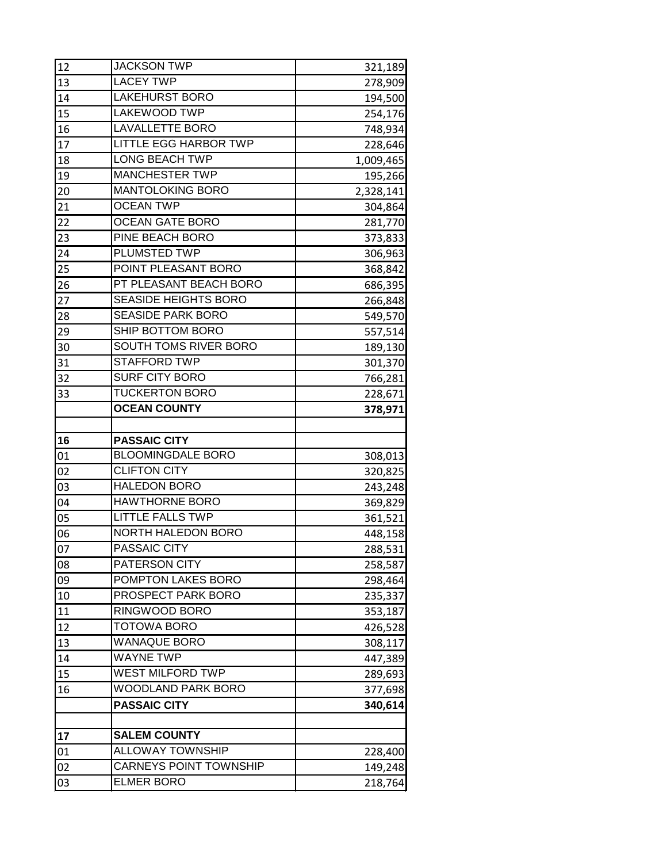| 12 | <b>JACKSON TWP</b>            | 321,189   |
|----|-------------------------------|-----------|
| 13 | <b>LACEY TWP</b>              | 278,909   |
| 14 | <b>LAKEHURST BORO</b>         | 194,500   |
| 15 | LAKEWOOD TWP                  | 254,176   |
| 16 | <b>LAVALLETTE BORO</b>        | 748,934   |
| 17 | <b>LITTLE EGG HARBOR TWP</b>  | 228,646   |
| 18 | <b>LONG BEACH TWP</b>         | 1,009,465 |
| 19 | <b>MANCHESTER TWP</b>         | 195,266   |
| 20 | <b>MANTOLOKING BORO</b>       | 2,328,141 |
| 21 | <b>OCEAN TWP</b>              | 304,864   |
| 22 | <b>OCEAN GATE BORO</b>        | 281,770   |
| 23 | PINE BEACH BORO               | 373,833   |
| 24 | PLUMSTED TWP                  | 306,963   |
| 25 | POINT PLEASANT BORO           | 368,842   |
| 26 | PT PLEASANT BEACH BORO        | 686,395   |
| 27 | <b>SEASIDE HEIGHTS BORO</b>   | 266,848   |
| 28 | <b>SEASIDE PARK BORO</b>      | 549,570   |
| 29 | SHIP BOTTOM BORO              | 557,514   |
| 30 | SOUTH TOMS RIVER BORO         | 189,130   |
| 31 | <b>STAFFORD TWP</b>           | 301,370   |
| 32 | <b>SURF CITY BORO</b>         | 766,281   |
| 33 | <b>TUCKERTON BORO</b>         | 228,671   |
|    | <b>OCEAN COUNTY</b>           | 378,971   |
|    |                               |           |
|    |                               |           |
| 16 | <b>PASSAIC CITY</b>           |           |
| 01 | <b>BLOOMINGDALE BORO</b>      | 308,013   |
| 02 | <b>CLIFTON CITY</b>           | 320,825   |
| 03 | <b>HALEDON BORO</b>           | 243,248   |
| 04 | <b>HAWTHORNE BORO</b>         | 369,829   |
| 05 | <b>LITTLE FALLS TWP</b>       | 361,521   |
| 06 | <b>NORTH HALEDON BORO</b>     | 448,158   |
| 07 | PASSAIC CITY                  | 288,531   |
| 08 | PATERSON CITY                 | 258,587   |
| 09 | POMPTON LAKES BORO            | 298,464   |
| 10 | PROSPECT PARK BORO            | 235,337   |
| 11 | RINGWOOD BORO                 | 353,187   |
| 12 | <b>TOTOWA BORO</b>            | 426,528   |
| 13 | <b>WANAQUE BORO</b>           | 308,117   |
| 14 | <b>WAYNE TWP</b>              | 447,389   |
| 15 | <b>WEST MILFORD TWP</b>       | 289,693   |
| 16 | <b>WOODLAND PARK BORO</b>     | 377,698   |
|    | <b>PASSAIC CITY</b>           | 340,614   |
|    |                               |           |
| 17 | <b>SALEM COUNTY</b>           |           |
| 01 | <b>ALLOWAY TOWNSHIP</b>       | 228,400   |
| 02 | <b>CARNEYS POINT TOWNSHIP</b> | 149,248   |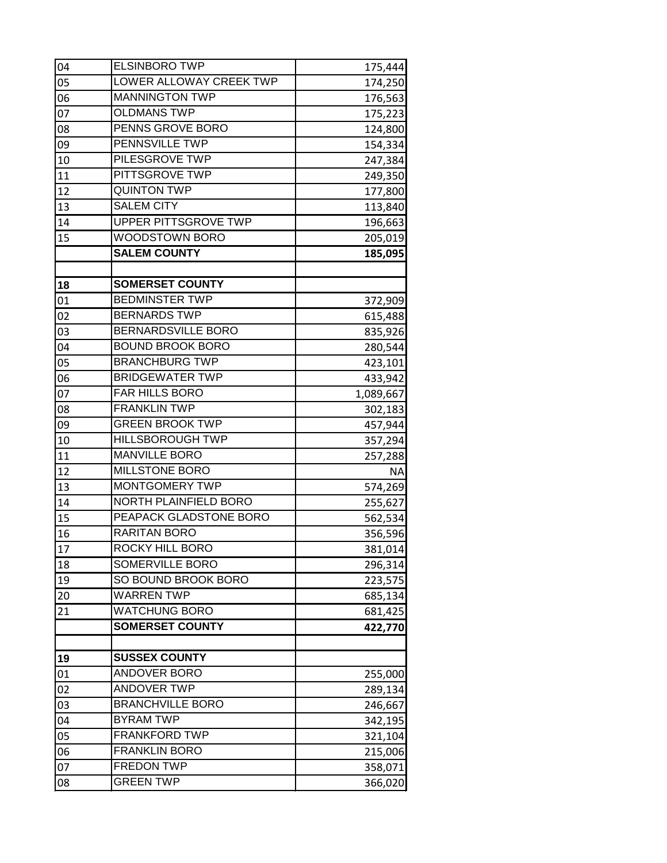| 04 | <b>ELSINBORO TWP</b>    | 175,444   |
|----|-------------------------|-----------|
| 05 | LOWER ALLOWAY CREEK TWP | 174,250   |
| 06 | <b>MANNINGTON TWP</b>   | 176,563   |
| 07 | <b>OLDMANS TWP</b>      | 175,223   |
| 08 | PENNS GROVE BORO        | 124,800   |
| 09 | PENNSVILLE TWP          | 154,334   |
| 10 | PILESGROVE TWP          | 247,384   |
| 11 | PITTSGROVE TWP          | 249,350   |
| 12 | <b>QUINTON TWP</b>      | 177,800   |
| 13 | <b>SALEM CITY</b>       | 113,840   |
| 14 | UPPER PITTSGROVE TWP    | 196,663   |
| 15 | <b>WOODSTOWN BORO</b>   | 205,019   |
|    | <b>SALEM COUNTY</b>     | 185,095   |
|    |                         |           |
| 18 | <b>SOMERSET COUNTY</b>  |           |
| 01 | <b>BEDMINSTER TWP</b>   | 372,909   |
| 02 | <b>BERNARDS TWP</b>     | 615,488   |
| 03 | BERNARDSVILLE BORO      | 835,926   |
| 04 | <b>BOUND BROOK BORO</b> | 280,544   |
| 05 | <b>BRANCHBURG TWP</b>   | 423,101   |
| 06 | <b>BRIDGEWATER TWP</b>  | 433,942   |
| 07 | FAR HILLS BORO          | 1,089,667 |
| 08 | <b>FRANKLIN TWP</b>     | 302,183   |
| 09 | <b>GREEN BROOK TWP</b>  | 457,944   |
| 10 | <b>HILLSBOROUGH TWP</b> | 357,294   |
| 11 | <b>MANVILLE BORO</b>    | 257,288   |
| 12 | <b>MILLSTONE BORO</b>   | ΝA        |
| 13 | MONTGOMERY TWP          | 574,269   |
| 14 | NORTH PLAINFIELD BORO   | 255,627   |
| 15 | PEAPACK GLADSTONE BORO  | 562,534   |
| 16 | RARITAN BORO            | 356,596   |
| 17 | ROCKY HILL BORO         | 381,014   |
| 18 | SOMERVILLE BORO         | 296,314   |
| 19 | SO BOUND BROOK BORO     | 223,575   |
| 20 | <b>WARREN TWP</b>       | 685,134   |
| 21 | <b>WATCHUNG BORO</b>    | 681,425   |
|    | <b>SOMERSET COUNTY</b>  | 422,770   |
|    |                         |           |
| 19 | <b>SUSSEX COUNTY</b>    |           |
| 01 | <b>ANDOVER BORO</b>     | 255,000   |
| 02 | <b>ANDOVER TWP</b>      | 289,134   |
| 03 | <b>BRANCHVILLE BORO</b> | 246,667   |
| 04 | <b>BYRAM TWP</b>        | 342,195   |
| 05 | <b>FRANKFORD TWP</b>    | 321,104   |
| 06 | <b>FRANKLIN BORO</b>    | 215,006   |
| 07 | <b>FREDON TWP</b>       | 358,071   |
| 08 | <b>GREEN TWP</b>        | 366,020   |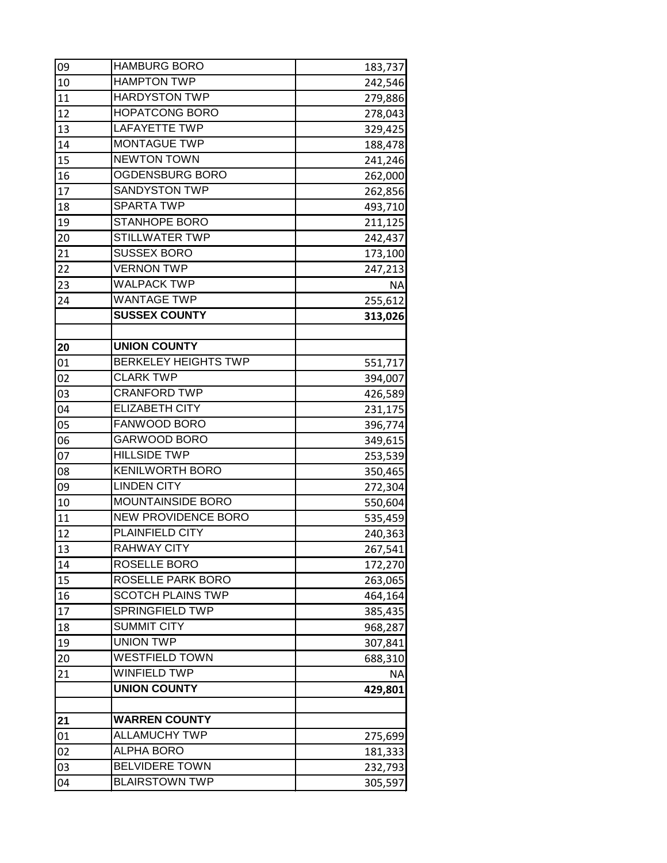| 09 | <b>HAMBURG BORO</b>         | 183,737   |
|----|-----------------------------|-----------|
| 10 | <b>HAMPTON TWP</b>          | 242,546   |
| 11 | <b>HARDYSTON TWP</b>        | 279,886   |
| 12 | <b>HOPATCONG BORO</b>       | 278,043   |
| 13 | <b>LAFAYETTE TWP</b>        | 329,425   |
| 14 | <b>MONTAGUE TWP</b>         | 188,478   |
| 15 | <b>NEWTON TOWN</b>          | 241,246   |
| 16 | OGDENSBURG BORO             | 262,000   |
| 17 | <b>SANDYSTON TWP</b>        | 262,856   |
| 18 | <b>SPARTA TWP</b>           | 493,710   |
| 19 | <b>STANHOPE BORO</b>        | 211,125   |
| 20 | <b>STILLWATER TWP</b>       | 242,437   |
| 21 | <b>SUSSEX BORO</b>          | 173,100   |
| 22 | <b>VERNON TWP</b>           | 247,213   |
| 23 | <b>WALPACK TWP</b>          | <b>NA</b> |
| 24 | <b>WANTAGE TWP</b>          | 255,612   |
|    | <b>SUSSEX COUNTY</b>        | 313,026   |
|    |                             |           |
| 20 | <b>UNION COUNTY</b>         |           |
| 01 | <b>BERKELEY HEIGHTS TWP</b> | 551,717   |
| 02 | <b>CLARK TWP</b>            | 394,007   |
| 03 | <b>CRANFORD TWP</b>         | 426,589   |
| 04 | <b>ELIZABETH CITY</b>       | 231,175   |
| 05 | FANWOOD BORO                | 396,774   |
| 06 | GARWOOD BORO                | 349,615   |
| 07 | <b>HILLSIDE TWP</b>         | 253,539   |
| 08 | <b>KENILWORTH BORO</b>      | 350,465   |
| 09 | <b>LINDEN CITY</b>          | 272,304   |
| 10 | MOUNTAINSIDE BORO           | 550,604   |
| 11 | NEW PROVIDENCE BORO         | 535,459   |
| 12 | <b>PLAINFIELD CITY</b>      | 240,363   |
| 13 | <b>RAHWAY CITY</b>          | 267,541   |
| 14 | ROSELLE BORO                | 172,270   |
| 15 | ROSELLE PARK BORO           | 263,065   |
| 16 | <b>SCOTCH PLAINS TWP</b>    | 464,164   |
| 17 | SPRINGFIELD TWP             | 385,435   |
| 18 | <b>SUMMIT CITY</b>          | 968,287   |
| 19 | <b>UNION TWP</b>            | 307,841   |
| 20 | <b>WESTFIELD TOWN</b>       | 688,310   |
| 21 | <b>WINFIELD TWP</b>         | ΝA        |
|    | <b>UNION COUNTY</b>         | 429,801   |
| 21 | <b>WARREN COUNTY</b>        |           |
| 01 | <b>ALLAMUCHY TWP</b>        | 275,699   |
| 02 | <b>ALPHA BORO</b>           | 181,333   |
| 03 | <b>BELVIDERE TOWN</b>       | 232,793   |
| 04 | <b>BLAIRSTOWN TWP</b>       | 305,597   |